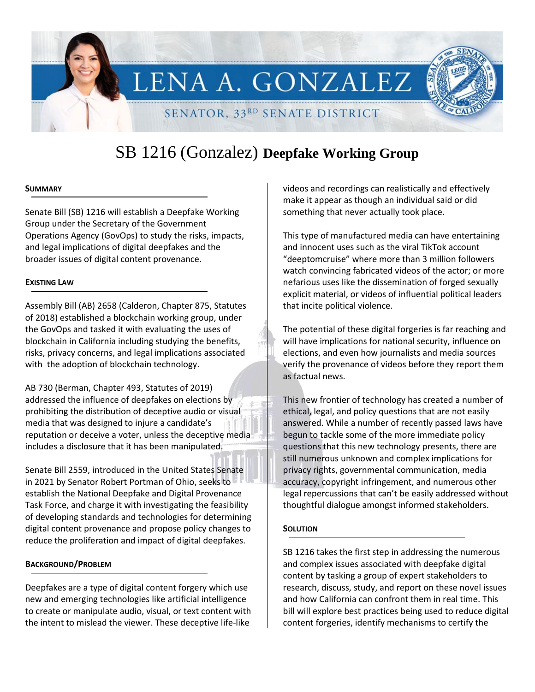

# SB 1216 (Gonzalez) **Deepfake Working Group**

#### **SUMMARY**

Senate Bill (SB) 1216 will establish a Deepfake Working Group under the Secretary of the Government Operations Agency (GovOps) to study the risks, impacts, and legal implications of digital deepfakes and the broader issues of digital content provenance.

#### **EXISTING LAW**

Assembly Bill (AB) 2658 (Calderon, Chapter 875, Statutes of 2018) established a blockchain working group, under the GovOps and tasked it with evaluating the uses of blockchain in California including studying the benefits, risks, privacy concerns, and legal implications associated with the adoption of blockchain technology.

AB 730 (Berman, Chapter 493, Statutes of 2019) addressed the influence of deepfakes on elections by prohibiting the distribution of deceptive audio or visual media that was designed to injure a candidate's reputation or deceive a voter, unless the deceptive media includes a disclosure that it has been manipulated.

Senate Bill 2559, introduced in the United States Senate in 2021 by Senator Robert Portman of Ohio, seeks to establish the National Deepfake and Digital Provenance Task Force, and charge it with investigating the feasibility of developing standards and technologies for determining digital content provenance and propose policy changes to reduce the proliferation and impact of digital deepfakes.

# **BACKGROUND/PROBLEM**

Deepfakes are a type of digital content forgery which use new and emerging technologies like artificial intelligence to create or manipulate audio, visual, or text content with the intent to mislead the viewer. These deceptive life-like

videos and recordings can realistically and effectively make it appear as though an individual said or did something that never actually took place.

This type of manufactured media can have entertaining and innocent uses such as the viral TikTok account "deeptomcruise" where more than 3 million followers watch convincing fabricated videos of the actor; or more nefarious uses like the dissemination of forged sexually explicit material, or videos of influential political leaders that incite political violence.

The potential of these digital forgeries is far reaching and will have implications for national security, influence on elections, and even how journalists and media sources verify the provenance of videos before they report them as factual news.

This new frontier of technology has created a number of ethical, legal, and policy questions that are not easily answered. While a number of recently passed laws have begun to tackle some of the more immediate policy questions that this new technology presents, there are still numerous unknown and complex implications for privacy rights, governmental communication, media accuracy, copyright infringement, and numerous other legal repercussions that can't be easily addressed without thoughtful dialogue amongst informed stakeholders.

# **SOLUTION**

SB 1216 takes the first step in addressing the numerous and complex issues associated with deepfake digital content by tasking a group of expert stakeholders to research, discuss, study, and report on these novel issues and how California can confront them in real time. This bill will explore best practices being used to reduce digital content forgeries, identify mechanisms to certify the